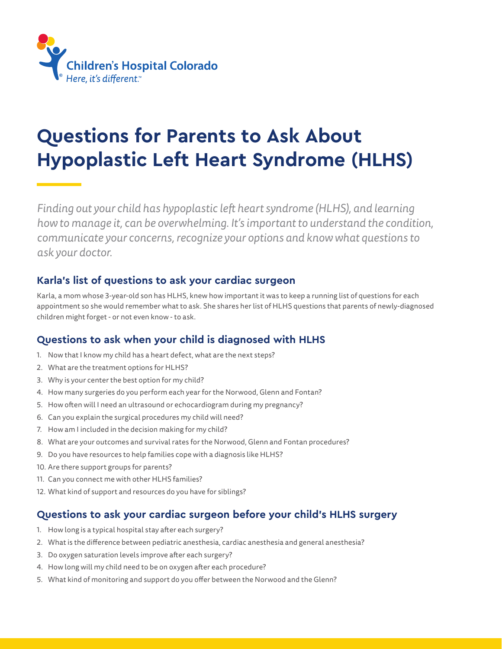

# **Questions for Parents to Ask About Hypoplastic Left Heart Syndrome (HLHS)**

*Finding out your child has hypoplastic left heart syndrome (HLHS), and learning how to manage it, can be overwhelming. It's important to understand the condition, communicate your concerns, recognize your options and know what questions to ask your doctor.* 

#### **Karla's list of questions to ask your cardiac surgeon**

Karla, a mom whose 3-year-old son has HLHS, knew how important it was to keep a running list of questions for each appointment so she would remember what to ask. She shares her list of HLHS questions that parents of newly-diagnosed children might forget - or not even know - to ask.

## **Questions to ask when your child is diagnosed with HLHS**

- 1. Now that I know my child has a heart defect, what are the next steps?
- 2. What are the treatment options for HLHS?
- 3. Why is your center the best option for my child?
- 4. How many surgeries do you perform each year for the Norwood, Glenn and Fontan?
- 5. How often will I need an ultrasound or echocardiogram during my pregnancy?
- 6. Can you explain the surgical procedures my child will need?
- 7. How am I included in the decision making for my child?
- 8. What are your outcomes and survival rates for the Norwood, Glenn and Fontan procedures?
- 9. Do you have resources to help families cope with a diagnosis like HLHS?
- 10. Are there support groups for parents?
- 11. Can you connect me with other HLHS families?
- 12. What kind of support and resources do you have for siblings?

## **Questions to ask your cardiac surgeon before your child's HLHS surgery**

- 1. How long is a typical hospital stay after each surgery?
- 2. What is the difference between pediatric anesthesia, cardiac anesthesia and general anesthesia?
- 3. Do oxygen saturation levels improve after each surgery?
- 4. How long will my child need to be on oxygen after each procedure?
- 5. What kind of monitoring and support do you offer between the Norwood and the Glenn?